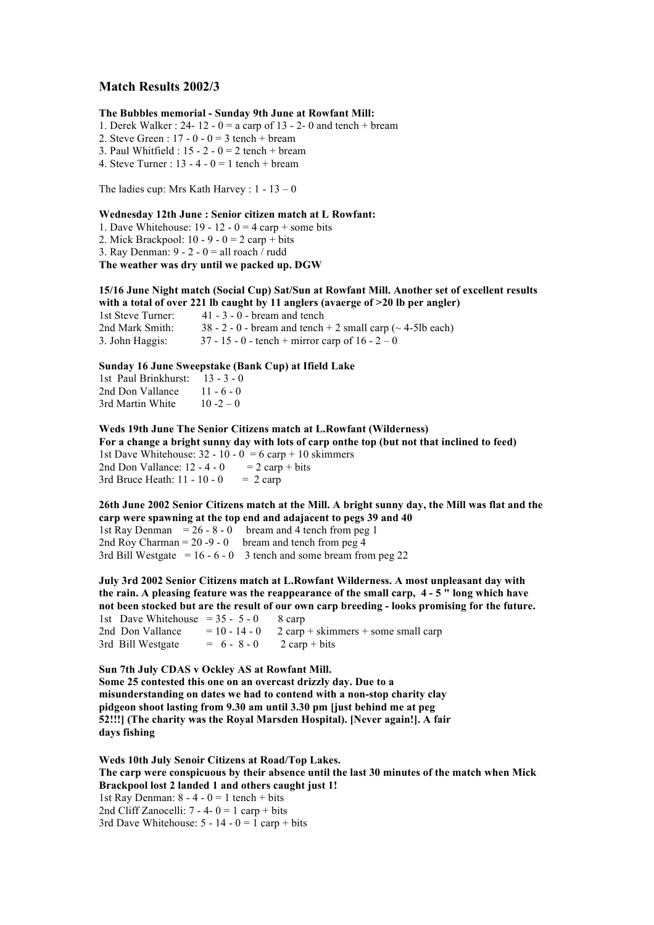# **Match Results 2002/3**

### **The Bubbles memorial - Sunday 9th June at Rowfant Mill:**

- 1. Derek Walker : 24- 12 0 = a carp of 13 2- 0 and tench + bream
- 2. Steve Green :  $17 0 0 = 3$  tench + bream
- 3. Paul Whitfield :  $15 2 0 = 2$  tench + bream
- 4. Steve Turner :  $13 4 0 = 1$  tench + bream

The ladies cup: Mrs Kath Harvey : 1 - 13 – 0

### **Wednesday 12th June : Senior citizen match at L Rowfant:**

- 1. Dave Whitehouse:  $19 12 0 = 4$  carp + some bits
- 2. Mick Brackpool:  $10 9 0 = 2$  carp + bits
- 3. Ray Denman:  $9 2 0 =$  all roach  $\ell$  rudd

**The weather was dry until we packed up. DGW**

### **15/16 June Night match (Social Cup) Sat/Sun at Rowfant Mill. Another set of excellent results with a total of over 221 lb caught by 11 anglers (avaerge of >20 lb per angler)**

1st Steve Turner: 41 - 3 - 0 - bream and tench 2nd Mark Smith:  $38 - 2 - 0$  - bream and tench + 2 small carp ( $\sim$  4-5lb each) 3. John Haggis:  $37 - 15 - 0$  - tench + mirror carp of  $16 - 2 - 0$ 

### **Sunday 16 June Sweepstake (Bank Cup) at Ifield Lake**

1st Paul Brinkhurst: 13 - 3 - 0 2nd Don Vallance  $11 - 6 - 0$ 3rd Martin White  $10 - 2 - 0$ 

**Weds 19th June The Senior Citizens match at L.Rowfant (Wilderness) For a change a bright sunny day with lots of carp onthe top (but not that inclined to feed)** 1st Dave Whitehouse:  $32 - 10 - 0 = 6$  carp + 10 skimmers 2nd Don Vallance:  $12 - 4 - 0 = 2$  carp + bits 3rd Bruce Heath:  $11 - 10 - 0 = 2$  carp

**26th June 2002 Senior Citizens match at the Mill. A bright sunny day, the Mill was flat and the carp were spawning at the top end and adajacent to pegs 39 and 40** 1st Ray Denman  $= 26 - 8 - 0$  bream and 4 tench from peg 1 2nd Roy Charman =  $20 - 9 - 0$  bream and tench from peg 4

3rd Bill Westgate =  $16 - 6 - 0$  3 tench and some bream from peg 22

**July 3rd 2002 Senior Citizens match at L.Rowfant Wilderness. A most unpleasant day with the rain. A pleasing feature was the reappearance of the small carp, 4 - 5 " long which have not been stocked but are the result of our own carp breeding - looks promising for the future.** 1st Dave Whitehouse =  $35 - 5 - 0$  8 carp 2nd Don Vallance  $= 10 - 14 - 0$  2 carp + skimmers + some small carp 3rd Bill Westgate  $= 6 - 8 - 0$  2 carp + bits

**Sun 7th July CDAS v Ockley AS at Rowfant Mill. Some 25 contested this one on an overcast drizzly day. Due to a misunderstanding on dates we had to contend with a non-stop charity clay pidgeon shoot lasting from 9.30 am until 3.30 pm [just behind me at peg 52!!!] (The charity was the Royal Marsden Hospital). [Never again!]. A fair days fishing**

**Weds 10th July Senoir Citizens at Road/Top Lakes. The carp were conspicuous by their absence until the last 30 minutes of the match when Mick Brackpool lost 2 landed 1 and others caught just 1!** 1st Ray Denman:  $8 - 4 - 0 = 1$  tench + bits 2nd Cliff Zanocelli:  $7 - 4 - 0 = 1$  carp + bits 3rd Dave Whitehouse:  $5 - 14 - 0 = 1$  carp + bits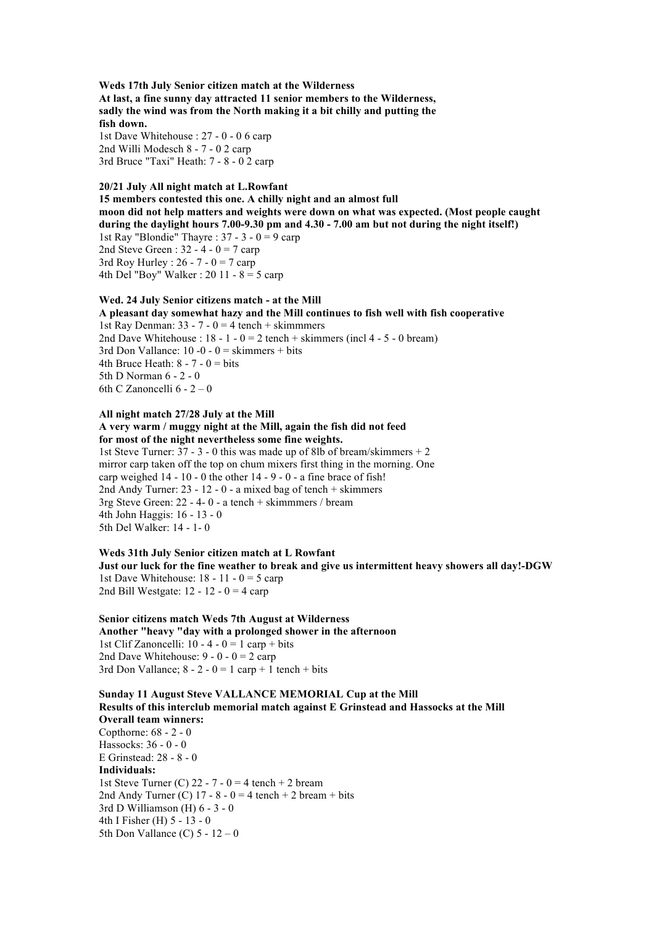**Weds 17th July Senior citizen match at the Wilderness At last, a fine sunny day attracted 11 senior members to the Wilderness, sadly the wind was from the North making it a bit chilly and putting the fish down.** 1st Dave Whitehouse : 27 - 0 - 0 6 carp

2nd Willi Modesch 8 - 7 - 0 2 carp 3rd Bruce "Taxi" Heath: 7 - 8 - 0 2 carp

# **20/21 July All night match at L.Rowfant**

**15 members contested this one. A chilly night and an almost full moon did not help matters and weights were down on what was expected. (Most people caught during the daylight hours 7.00-9.30 pm and 4.30 - 7.00 am but not during the night itself!)** 1st Ray "Blondie" Thayre :  $37 - 3 - 0 = 9$  carp 2nd Steve Green :  $32 - 4 - 0 = 7$  carp 3rd Roy Hurley :  $26 - 7 - 0 = 7$  carp 4th Del "Boy" Walker : 20 11 -  $8 = 5$  carp

### **Wed. 24 July Senior citizens match - at the Mill**

**A pleasant day somewhat hazy and the Mill continues to fish well with fish cooperative** 1st Ray Denman:  $33 - 7 - 0 = 4$  tench + skimmmers 2nd Dave Whitehouse :  $18 - 1 - 0 = 2$  tench + skimmers (incl 4 - 5 - 0 bream) 3rd Don Vallance:  $10 - 0 - 0 =$  skimmers + bits 4th Bruce Heath:  $8 - 7 - 0 = \text{bits}$ 5th D Norman 6 - 2 - 0 6th C Zanoncelli 6 - 2 – 0

# **All night match 27/28 July at the Mill**

**A very warm / muggy night at the Mill, again the fish did not feed for most of the night nevertheless some fine weights.**

1st Steve Turner:  $37 - 3 - 0$  this was made up of 8lb of bream/skimmers  $+ 2$ mirror carp taken off the top on chum mixers first thing in the morning. One carp weighed  $14 - 10 - 0$  the other  $14 - 9 - 0$  - a fine brace of fish! 2nd Andy Turner: 23 - 12 - 0 - a mixed bag of tench + skimmers 3rg Steve Green: 22 - 4- 0 - a tench + skimmmers / bream 4th John Haggis: 16 - 13 - 0 5th Del Walker: 14 - 1- 0

### **Weds 31th July Senior citizen match at L Rowfant Just our luck for the fine weather to break and give us intermittent heavy showers all day!-DGW** 1st Dave Whitehouse:  $18 - 11 - 0 = 5$  carp 2nd Bill Westgate:  $12 - 12 - 0 = 4$  carp

# **Senior citizens match Weds 7th August at Wilderness Another "heavy "day with a prolonged shower in the afternoon** 1st Clif Zanoncelli:  $10 - 4 - 0 = 1$  carp + bits 2nd Dave Whitehouse:  $9 - 0 - 0 = 2$  carp 3rd Don Vallance;  $8 - 2 - 0 = 1$  carp + 1 tench + bits

**Sunday 11 August Steve VALLANCE MEMORIAL Cup at the Mill Results of this interclub memorial match against E Grinstead and Hassocks at the Mill Overall team winners:** Copthorne: 68 - 2 - 0 Hassocks: 36 - 0 - 0 E Grinstead: 28 - 8 - 0 **Individuals:** 1st Steve Turner (C) 22 - 7 - 0 = 4 tench + 2 bream 2nd Andy Turner (C)  $17 - 8 - 0 = 4$  tench  $+ 2$  bream  $+$  bits 3rd D Williamson (H) 6 - 3 - 0 4th I Fisher (H) 5 - 13 - 0 5th Don Vallance (C)  $5 - 12 - 0$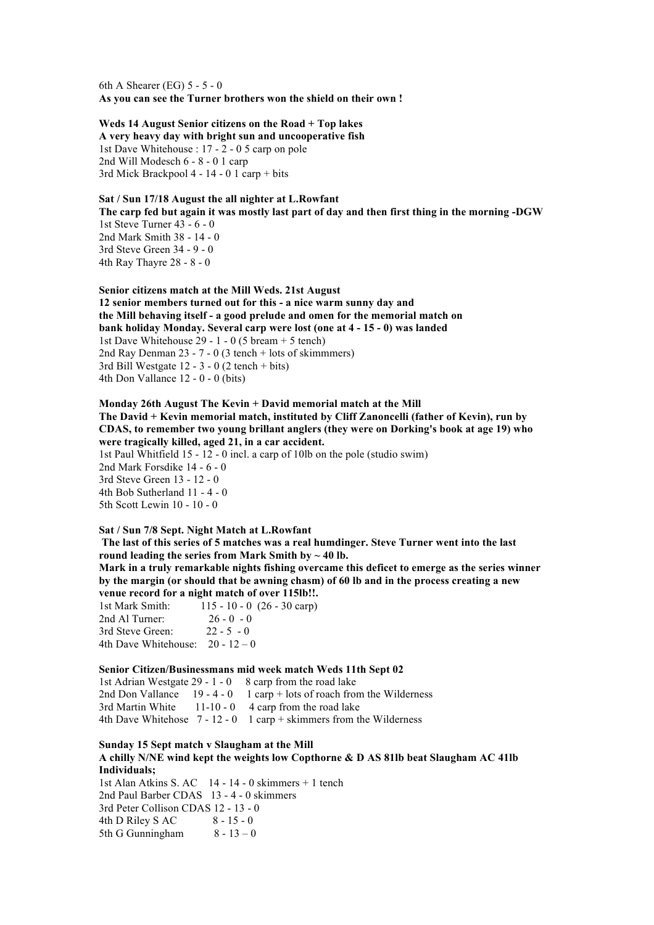6th A Shearer (EG) 5 - 5 - 0 **As you can see the Turner brothers won the shield on their own !**

# **Weds 14 August Senior citizens on the Road + Top lakes**

**A very heavy day with bright sun and uncooperative fish** 1st Dave Whitehouse : 17 - 2 - 0 5 carp on pole 2nd Will Modesch 6 - 8 - 0 1 carp 3rd Mick Brackpool 4 - 14 - 0 1 carp + bits

# **Sat / Sun 17/18 August the all nighter at L.Rowfant**

**The carp fed but again it was mostly last part of day and then first thing in the morning -DGW** 1st Steve Turner 43 - 6 - 0 2nd Mark Smith 38 - 14 - 0 3rd Steve Green 34 - 9 - 0

4th Ray Thayre 28 - 8 - 0

**Senior citizens match at the Mill Weds. 21st August 12 senior members turned out for this - a nice warm sunny day and the Mill behaving itself - a good prelude and omen for the memorial match on bank holiday Monday. Several carp were lost (one at 4 - 15 - 0) was landed** 1st Dave Whitehouse 29 - 1 - 0 (5 bream + 5 tench) 2nd Ray Denman 23 - 7 - 0 (3 tench + lots of skimmmers) 3rd Bill Westgate 12 - 3 - 0 (2 tench + bits) 4th Don Vallance 12 - 0 - 0 (bits)

### **Monday 26th August The Kevin + David memorial match at the Mill The David + Kevin memorial match, instituted by Cliff Zanoncelli (father of Kevin), run by CDAS, to remember two young brillant anglers (they were on Dorking's book at age 19) who were tragically killed, aged 21, in a car accident.**

1st Paul Whitfield 15 - 12 - 0 incl. a carp of 10lb on the pole (studio swim)

2nd Mark Forsdike 14 - 6 - 0 3rd Steve Green 13 - 12 - 0 4th Bob Sutherland 11 - 4 - 0 5th Scott Lewin 10 - 10 - 0

# **Sat / Sun 7/8 Sept. Night Match at L.Rowfant**

**The last of this series of 5 matches was a real humdinger. Steve Turner went into the last**  round leading the series from Mark Smith by  $\sim$  40 lb.

**Mark in a truly remarkable nights fishing overcame this deficet to emerge as the series winner by the margin (or should that be awning chasm) of 60 lb and in the process creating a new venue record for a night match of over 115lb!!.**

1st Mark Smith: 115 - 10 - 0 (26 - 30 carp) 2nd Al Turner: 26 - 0 - 0 3rd Steve Green: 22 - 5 - 0 4th Dave Whitehouse:  $20 - 12 - 0$ 

## **Senior Citizen/Businessmans mid week match Weds 11th Sept 02**

1st Adrian Westgate 29 - 1 - 0 8 carp from the road lake 2nd Don Vallance  $19 - 4 - 0$  1 carp + lots of roach from the Wilderness 3rd Martin White  $11-10-0$  4 carp from the road lake 4th Dave Whitehose 7 - 12 - 0 1 carp + skimmers from the Wilderness

### **Sunday 15 Sept match v Slaugham at the Mill**

**A chilly N/NE wind kept the weights low Copthorne & D AS 81lb beat Slaugham AC 41lb Individuals;**

1st Alan Atkins S. AC 14 - 14 - 0 skimmers + 1 tench 2nd Paul Barber CDAS 13 - 4 - 0 skimmers 3rd Peter Collison CDAS 12 - 13 - 0<br>4th D Riley S AC 8 - 15 - 0 4th D Riley S AC 5th G Gunningham  $8 - 13 - 0$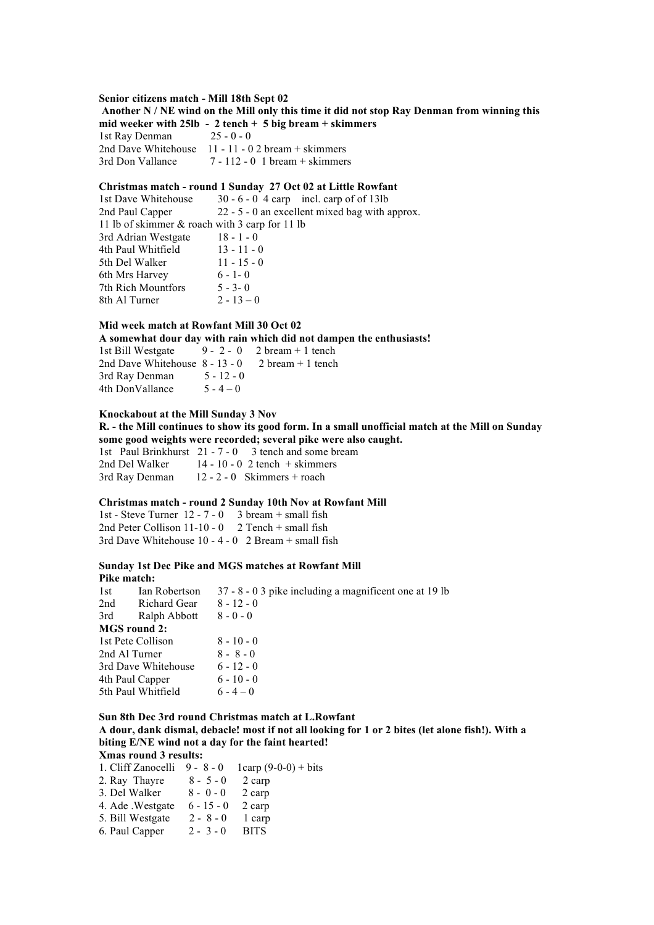#### **Senior citizens match - Mill 18th Sept 02**

**Another N / NE wind on the Mill only this time it did not stop Ray Denman from winning this mid weeker with 25lb - 2 tench + 5 big bream + skimmers** 1st Ray Denman 25 - 0 - 0 2nd Dave Whitehouse 11 - 11 - 0 2 bream + skimmers 3rd Don Vallance 7 - 112 - 0 1 bream + skimmers

### **Christmas match - round 1 Sunday 27 Oct 02 at Little Rowfant**

1st Dave Whitehouse 30 - 6 - 0 4 carp incl. carp of of 13lb 2nd Paul Capper 22 - 5 - 0 an excellent mixed bag with approx. 11 lb of skimmer & roach with 3 carp for 11 lb 3rd Adrian Westgate 18 - 1 - 0 4th Paul Whitfield 13 - 11 - 0 5th Del Walker 11 - 15 - 0 6th Mrs Harvey  $6 - 1 - 0$ 7th Rich Mountfors 5 - 3- 0 8th Al Turner  $2 - 13 - 0$ 

# **Mid week match at Rowfant Mill 30 Oct 02**

**A somewhat dour day with rain which did not dampen the enthusiasts!**

1st Bill Westgate  $9 - 2 - 0$  2 bream + 1 tench 2nd Dave Whitehouse  $8 - 13 - 0$  2 bream + 1 tench 3rd Ray Denman 5 - 12 - 0 4th DonVallance  $5 - 4 - 0$ 

# **Knockabout at the Mill Sunday 3 Nov**

**R. - the Mill continues to show its good form. In a small unofficial match at the Mill on Sunday some good weights were recorded; several pike were also caught.** 1st Paul Brinkhurst 21 - 7 - 0 3 tench and some bream 2nd Del Walker 14 - 10 - 0 2 tench + skimmers

3rd Ray Denman 12 - 2 - 0 Skimmers + roach

#### **Christmas match - round 2 Sunday 10th Nov at Rowfant Mill**

1st - Steve Turner 12 - 7 - 0 3 bream + small fish 2nd Peter Collison  $11-10-0$  2 Tench + small fish 3rd Dave Whitehouse 10 - 4 - 0 2 Bream + small fish

#### **Sunday 1st Dec Pike and MGS matches at Rowfant Mill Pike match:**

| 1st                 | Ian Robertson       | 37 - 8 - 0 3 pike including a magnificent one at 19 lb |
|---------------------|---------------------|--------------------------------------------------------|
| 2nd                 | Richard Gear        | $8 - 12 - 0$                                           |
| 3rd                 | Ralph Abbott        | $8 - 0 - 0$                                            |
|                     | <b>MGS</b> round 2: |                                                        |
| 1st Pete Collison   |                     | $8 - 10 - 0$                                           |
| 2nd Al Turner       |                     | $8 - 8 - 0$                                            |
| 3rd Dave Whitehouse |                     | $6 - 12 - 0$                                           |
| 4th Paul Capper     |                     | $6 - 10 - 0$                                           |
| 5th Paul Whitfield  |                     | $6 - 4 - 0$                                            |
|                     |                     |                                                        |

# **Sun 8th Dec 3rd round Christmas match at L.Rowfant**

**A dour, dank dismal, debacle! most if not all looking for 1 or 2 bites (let alone fish!). With a biting E/NE wind not a day for the faint hearted!**

#### **Xmas round 3 results:**

| 1. Cliff Zanocelli | $9 - 8 - 0$  | 1carp $(9-0-0) + bits$ |
|--------------------|--------------|------------------------|
| 2. Ray Thayre      | $8 - 5 - 0$  | 2 carp                 |
| 3. Del Walker      | $8 - 0 - 0$  | 2 carp                 |
| 4. Ade .Westgate   | $6 - 15 - 0$ | 2 carp                 |
| 5. Bill Westgate   | $2 - 8 - 0$  | 1 carp                 |
| 6. Paul Capper     | $2 - 3 - 0$  | <b>BITS</b>            |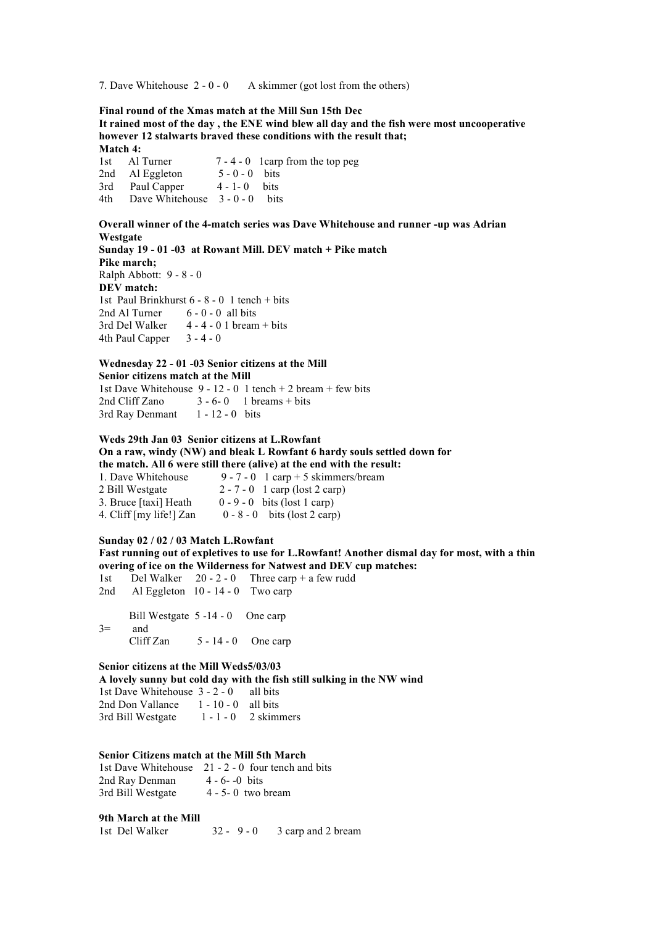7. Dave Whitehouse 2 - 0 - 0 A skimmer (got lost from the others)

**Final round of the Xmas match at the Mill Sun 15th Dec**

**It rained most of the day , the ENE wind blew all day and the fish were most uncooperative however 12 stalwarts braved these conditions with the result that; Match 4:** 1st Al Turner 7 - 4 - 0 1carp from the top peg

2nd Al Eggleton  $5 - 0 - 0$  bits 3rd Paul Capper 4 - 1- 0 bits 4th Dave Whitehouse 3 - 0 - 0 bits

**Overall winner of the 4-match series was Dave Whitehouse and runner -up was Adrian Westgate Sunday 19 - 01 -03 at Rowant Mill. DEV match + Pike match Pike march;**  Ralph Abbott: 9 - 8 - 0 **DEV match:** 1st Paul Brinkhurst 6 - 8 - 0 1 tench + bits 2nd Al Turner  $6 - 0 - 0$  all hits 3rd Del Walker  $4 - 4 - 0$  1 bream + bits 4th Paul Capper  $3 - 4 - 0$ 

#### **Wednesday 22 - 01 -03 Senior citizens at the Mill Senior citizens match at the Mill**

1st Dave Whitehouse  $9 - 12 - 0$  1 tench  $+ 2$  bream  $+$  few bits 2nd Cliff Zano  $3 - 6 - 0$  1 breams + bits 3rd Ray Denmant 1 - 12 - 0 bits

**Weds 29th Jan 03 Senior citizens at L.Rowfant On a raw, windy (NW) and bleak L Rowfant 6 hardy souls settled down for the match. All 6 were still there (alive) at the end with the result:**

| 1. Dave Whitehouse      | 9 - 7 - 0 $\,$ 1 carp + 5 skimmers/bream |
|-------------------------|------------------------------------------|
| 2 Bill Westgate         | $2 - 7 - 0$ 1 carp (lost 2 carp)         |
| 3. Bruce [taxi] Heath   | $0 - 9 - 0$ bits (lost 1 carp)           |
| 4. Cliff [my life!] Zan | $0 - 8 - 0$ bits (lost 2 carp)           |

# **Sunday 02 / 02 / 03 Match L.Rowfant**

**Fast running out of expletives to use for L.Rowfant! Another dismal day for most, with a thin overing of ice on the Wilderness for Natwest and DEV cup matches:**

1st Del Walker  $20 - 2 - 0$  Three carp + a few rudd 2nd Al Eggleton  $10 - 14 - 0$  Two carp

Bill Westgate 5-14-0 One carp 3= and Cliff Zan  $5 - 14 - 0$  One carp

### **Senior citizens at the Mill Weds5/03/03**

**A lovely sunny but cold day with the fish still sulking in the NW wind**

1st Dave Whitehouse 3 - 2 - 0 all bits 2nd Don Vallance 1 - 10 - 0 all bits 3rd Bill Westgate 1 - 1 - 0 2 skimmers

#### **Senior Citizens match at the Mill 5th March**

1st Dave Whitehouse 21 - 2 - 0 four tench and bits 2nd Ray Denman  $4 - 6 - -0$  bits 3rd Bill Westgate 4 - 5- 0 two bream

### **9th March at the Mill**

1st Del Walker 32 - 9 - 0 3 carp and 2 bream